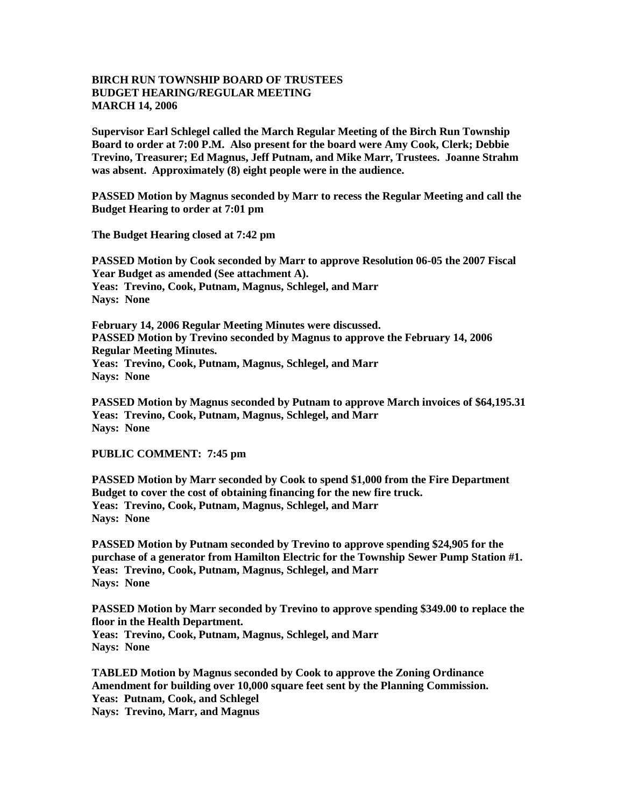## **BIRCH RUN TOWNSHIP BOARD OF TRUSTEES BUDGET HEARING/REGULAR MEETING MARCH 14, 2006**

**Supervisor Earl Schlegel called the March Regular Meeting of the Birch Run Township Board to order at 7:00 P.M. Also present for the board were Amy Cook, Clerk; Debbie Trevino, Treasurer; Ed Magnus, Jeff Putnam, and Mike Marr, Trustees. Joanne Strahm was absent. Approximately (8) eight people were in the audience.** 

**PASSED Motion by Magnus seconded by Marr to recess the Regular Meeting and call the Budget Hearing to order at 7:01 pm**

**The Budget Hearing closed at 7:42 pm**

**PASSED Motion by Cook seconded by Marr to approve Resolution 06-05 the 2007 Fiscal Year Budget as amended (See attachment A). Yeas: Trevino, Cook, Putnam, Magnus, Schlegel, and Marr Nays: None**

**February 14, 2006 Regular Meeting Minutes were discussed. PASSED Motion by Trevino seconded by Magnus to approve the February 14, 2006 Regular Meeting Minutes. Yeas: Trevino, Cook, Putnam, Magnus, Schlegel, and Marr Nays: None**

**PASSED Motion by Magnus seconded by Putnam to approve March invoices of \$64,195.31 Yeas: Trevino, Cook, Putnam, Magnus, Schlegel, and Marr Nays: None**

## **PUBLIC COMMENT: 7:45 pm**

**PASSED Motion by Marr seconded by Cook to spend \$1,000 from the Fire Department Budget to cover the cost of obtaining financing for the new fire truck. Yeas: Trevino, Cook, Putnam, Magnus, Schlegel, and Marr Nays: None**

**PASSED Motion by Putnam seconded by Trevino to approve spending \$24,905 for the purchase of a generator from Hamilton Electric for the Township Sewer Pump Station #1. Yeas: Trevino, Cook, Putnam, Magnus, Schlegel, and Marr Nays: None**

**PASSED Motion by Marr seconded by Trevino to approve spending \$349.00 to replace the floor in the Health Department. Yeas: Trevino, Cook, Putnam, Magnus, Schlegel, and Marr Nays: None**

**TABLED Motion by Magnus seconded by Cook to approve the Zoning Ordinance Amendment for building over 10,000 square feet sent by the Planning Commission. Yeas: Putnam, Cook, and Schlegel Nays: Trevino, Marr, and Magnus**